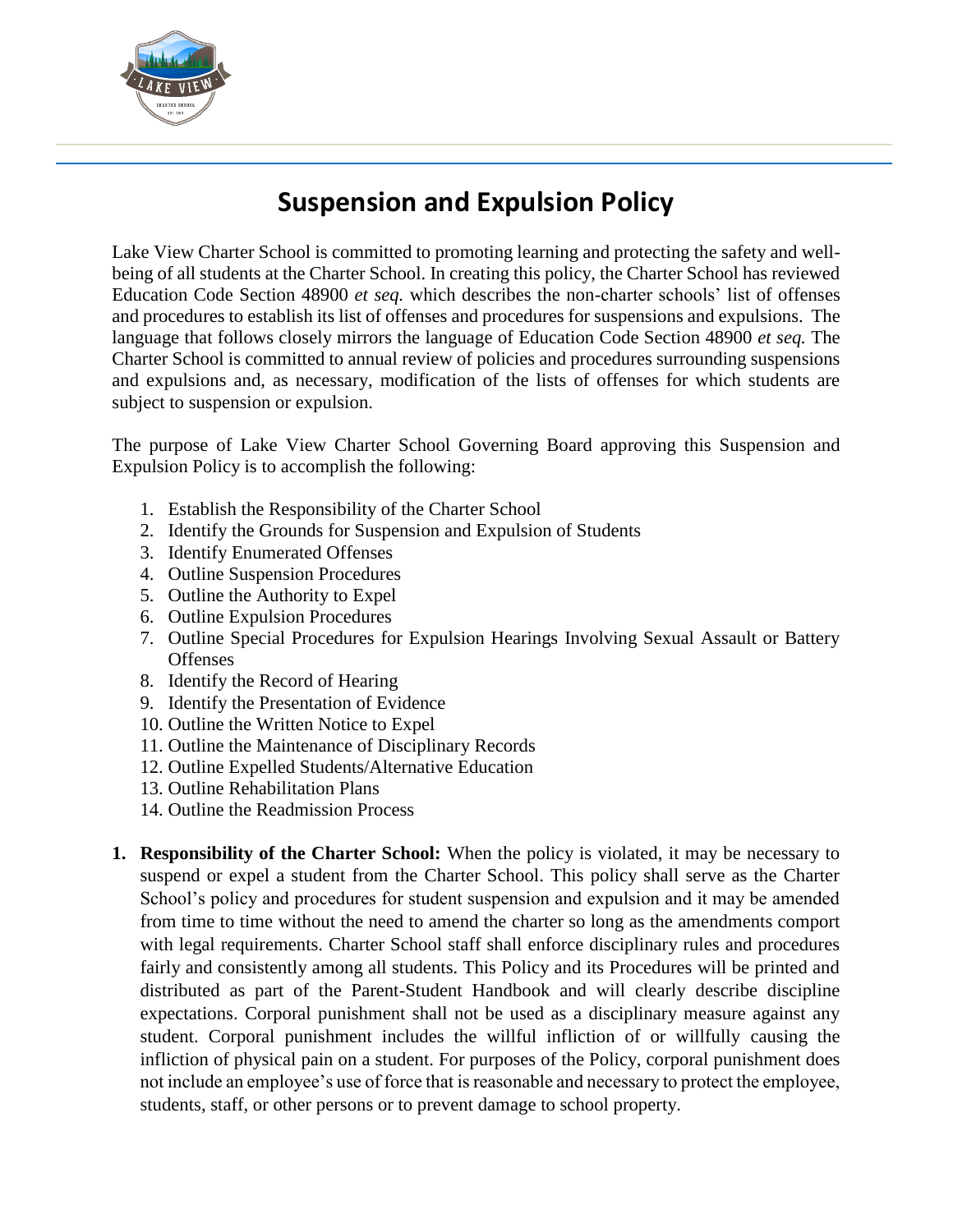

## **Suspension and Expulsion Policy**

Lake View Charter School is committed to promoting learning and protecting the safety and wellbeing of all students at the Charter School. In creating this policy, the Charter School has reviewed Education Code Section 48900 *et seq.* which describes the non-charter schools' list of offenses and procedures to establish its list of offenses and procedures for suspensions and expulsions. The language that follows closely mirrors the language of Education Code Section 48900 *et seq.* The Charter School is committed to annual review of policies and procedures surrounding suspensions and expulsions and, as necessary, modification of the lists of offenses for which students are subject to suspension or expulsion.

The purpose of Lake View Charter School Governing Board approving this Suspension and Expulsion Policy is to accomplish the following:

- 1. Establish the Responsibility of the Charter School
- 2. Identify the Grounds for Suspension and Expulsion of Students
- 3. Identify Enumerated Offenses
- 4. Outline Suspension Procedures
- 5. Outline the Authority to Expel
- 6. Outline Expulsion Procedures
- 7. Outline Special Procedures for Expulsion Hearings Involving Sexual Assault or Battery **Offenses**
- 8. Identify the Record of Hearing
- 9. Identify the Presentation of Evidence
- 10. Outline the Written Notice to Expel
- 11. Outline the Maintenance of Disciplinary Records
- 12. Outline Expelled Students/Alternative Education
- 13. Outline Rehabilitation Plans
- 14. Outline the Readmission Process
- **1. Responsibility of the Charter School:** When the policy is violated, it may be necessary to suspend or expel a student from the Charter School. This policy shall serve as the Charter School's policy and procedures for student suspension and expulsion and it may be amended from time to time without the need to amend the charter so long as the amendments comport with legal requirements. Charter School staff shall enforce disciplinary rules and procedures fairly and consistently among all students. This Policy and its Procedures will be printed and distributed as part of the Parent-Student Handbook and will clearly describe discipline expectations. Corporal punishment shall not be used as a disciplinary measure against any student. Corporal punishment includes the willful infliction of or willfully causing the infliction of physical pain on a student. For purposes of the Policy, corporal punishment does not include an employee's use of force that is reasonable and necessary to protect the employee, students, staff, or other persons or to prevent damage to school property.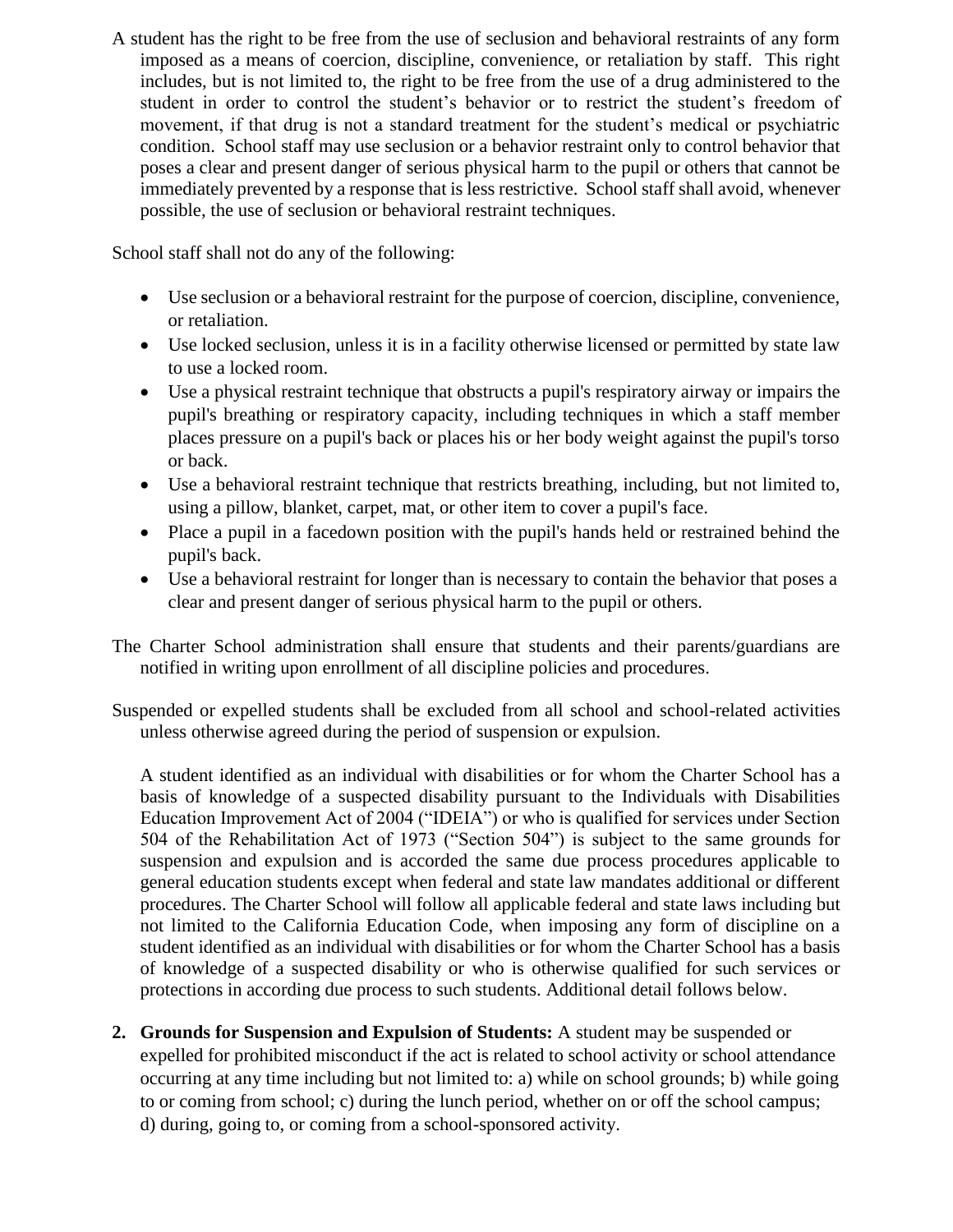A student has the right to be free from the use of seclusion and behavioral restraints of any form imposed as a means of coercion, discipline, convenience, or retaliation by staff. This right includes, but is not limited to, the right to be free from the use of a drug administered to the student in order to control the student's behavior or to restrict the student's freedom of movement, if that drug is not a standard treatment for the student's medical or psychiatric condition. School staff may use seclusion or a behavior restraint only to control behavior that poses a clear and present danger of serious physical harm to the pupil or others that cannot be immediately prevented by a response that is less restrictive. School staff shall avoid, whenever possible, the use of seclusion or behavioral restraint techniques.

School staff shall not do any of the following:

- Use seclusion or a behavioral restraint for the purpose of coercion, discipline, convenience, or retaliation.
- Use locked seclusion, unless it is in a facility otherwise licensed or permitted by state law to use a locked room.
- Use a physical restraint technique that obstructs a pupil's respiratory airway or impairs the pupil's breathing or respiratory capacity, including techniques in which a staff member places pressure on a pupil's back or places his or her body weight against the pupil's torso or back.
- Use a behavioral restraint technique that restricts breathing, including, but not limited to, using a pillow, blanket, carpet, mat, or other item to cover a pupil's face.
- Place a pupil in a facedown position with the pupil's hands held or restrained behind the pupil's back.
- Use a behavioral restraint for longer than is necessary to contain the behavior that poses a clear and present danger of serious physical harm to the pupil or others.
- The Charter School administration shall ensure that students and their parents/guardians are notified in writing upon enrollment of all discipline policies and procedures.
- Suspended or expelled students shall be excluded from all school and school-related activities unless otherwise agreed during the period of suspension or expulsion.

A student identified as an individual with disabilities or for whom the Charter School has a basis of knowledge of a suspected disability pursuant to the Individuals with Disabilities Education Improvement Act of 2004 ("IDEIA") or who is qualified for services under Section 504 of the Rehabilitation Act of 1973 ("Section 504") is subject to the same grounds for suspension and expulsion and is accorded the same due process procedures applicable to general education students except when federal and state law mandates additional or different procedures. The Charter School will follow all applicable federal and state laws including but not limited to the California Education Code, when imposing any form of discipline on a student identified as an individual with disabilities or for whom the Charter School has a basis of knowledge of a suspected disability or who is otherwise qualified for such services or protections in according due process to such students. Additional detail follows below.

**2. Grounds for Suspension and Expulsion of Students:** A student may be suspended or expelled for prohibited misconduct if the act is related to school activity or school attendance occurring at any time including but not limited to: a) while on school grounds; b) while going to or coming from school; c) during the lunch period, whether on or off the school campus; d) during, going to, or coming from a school-sponsored activity.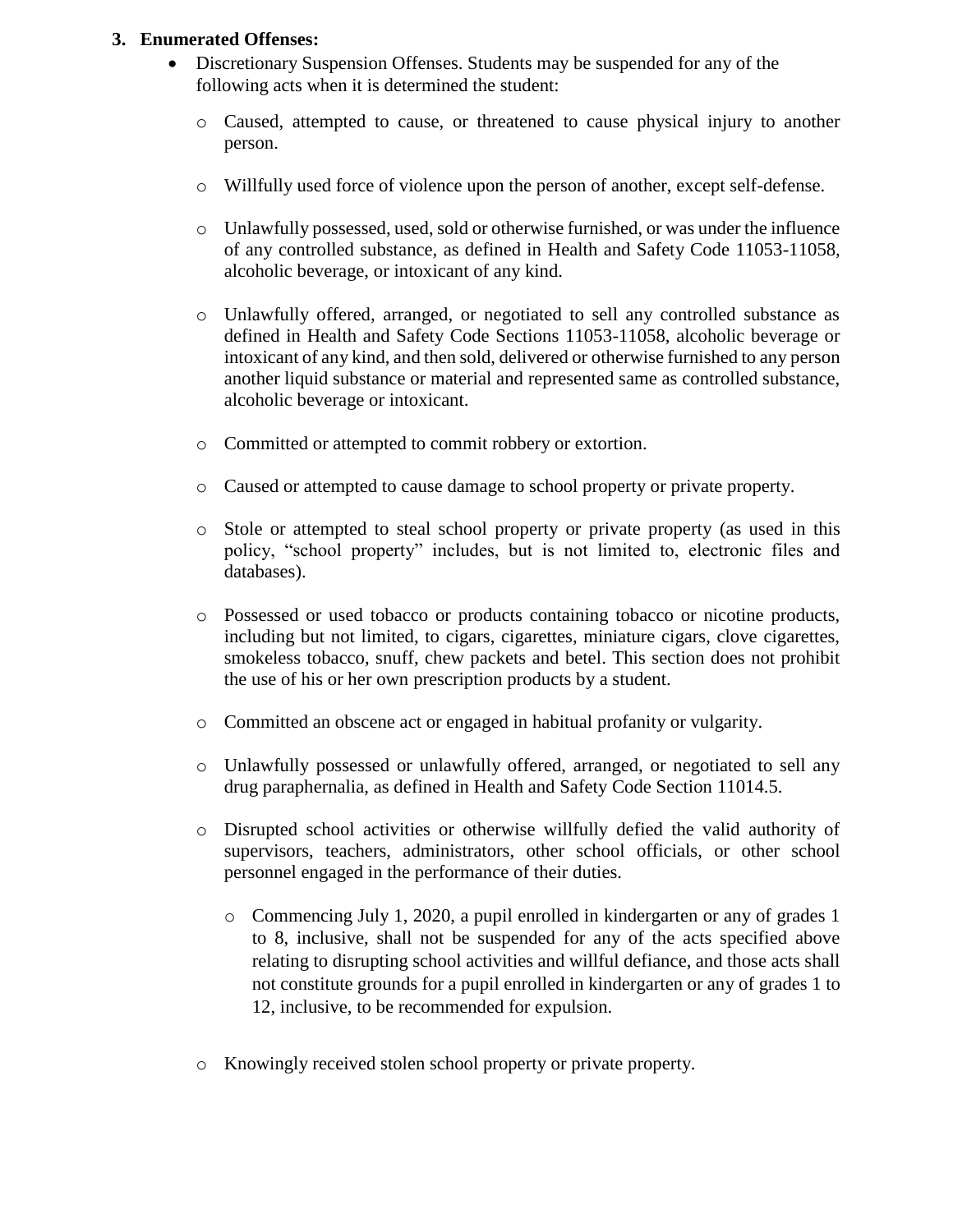## **3. Enumerated Offenses:**

- Discretionary Suspension Offenses. Students may be suspended for any of the following acts when it is determined the student:
	- o Caused, attempted to cause, or threatened to cause physical injury to another person.
	- o Willfully used force of violence upon the person of another, except self-defense.
	- o Unlawfully possessed, used, sold or otherwise furnished, or was under the influence of any controlled substance, as defined in Health and Safety Code 11053-11058, alcoholic beverage, or intoxicant of any kind.
	- o Unlawfully offered, arranged, or negotiated to sell any controlled substance as defined in Health and Safety Code Sections 11053-11058, alcoholic beverage or intoxicant of any kind, and then sold, delivered or otherwise furnished to any person another liquid substance or material and represented same as controlled substance, alcoholic beverage or intoxicant.
	- o Committed or attempted to commit robbery or extortion.
	- o Caused or attempted to cause damage to school property or private property.
	- o Stole or attempted to steal school property or private property (as used in this policy, "school property" includes, but is not limited to, electronic files and databases).
	- o Possessed or used tobacco or products containing tobacco or nicotine products, including but not limited, to cigars, cigarettes, miniature cigars, clove cigarettes, smokeless tobacco, snuff, chew packets and betel. This section does not prohibit the use of his or her own prescription products by a student.
	- o Committed an obscene act or engaged in habitual profanity or vulgarity.
	- o Unlawfully possessed or unlawfully offered, arranged, or negotiated to sell any drug paraphernalia, as defined in Health and Safety Code Section 11014.5.
	- o Disrupted school activities or otherwise willfully defied the valid authority of supervisors, teachers, administrators, other school officials, or other school personnel engaged in the performance of their duties.
		- o Commencing July 1, 2020, a pupil enrolled in kindergarten or any of grades 1 to 8, inclusive, shall not be suspended for any of the acts specified above relating to disrupting school activities and willful defiance, and those acts shall not constitute grounds for a pupil enrolled in kindergarten or any of grades 1 to 12, inclusive, to be recommended for expulsion.
	- o Knowingly received stolen school property or private property.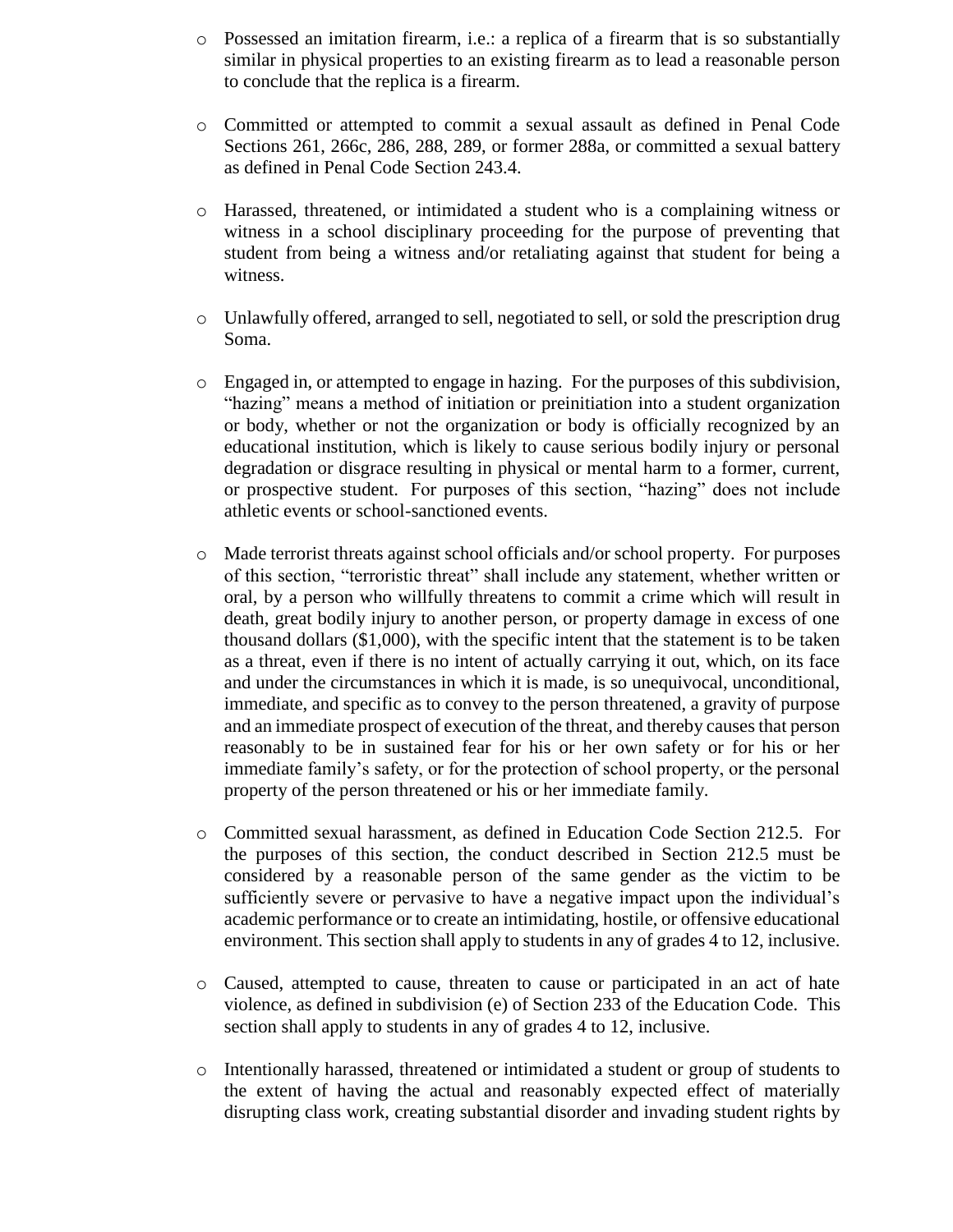- o Possessed an imitation firearm, i.e.: a replica of a firearm that is so substantially similar in physical properties to an existing firearm as to lead a reasonable person to conclude that the replica is a firearm.
- o Committed or attempted to commit a sexual assault as defined in Penal Code Sections 261, 266c, 286, 288, 289, or former 288a, or committed a sexual battery as defined in Penal Code Section 243.4.
- o Harassed, threatened, or intimidated a student who is a complaining witness or witness in a school disciplinary proceeding for the purpose of preventing that student from being a witness and/or retaliating against that student for being a witness.
- o Unlawfully offered, arranged to sell, negotiated to sell, or sold the prescription drug Soma.
- o Engaged in, or attempted to engage in hazing. For the purposes of this subdivision, "hazing" means a method of initiation or preinitiation into a student organization or body, whether or not the organization or body is officially recognized by an educational institution, which is likely to cause serious bodily injury or personal degradation or disgrace resulting in physical or mental harm to a former, current, or prospective student. For purposes of this section, "hazing" does not include athletic events or school-sanctioned events.
- o Made terrorist threats against school officials and/or school property. For purposes of this section, "terroristic threat" shall include any statement, whether written or oral, by a person who willfully threatens to commit a crime which will result in death, great bodily injury to another person, or property damage in excess of one thousand dollars (\$1,000), with the specific intent that the statement is to be taken as a threat, even if there is no intent of actually carrying it out, which, on its face and under the circumstances in which it is made, is so unequivocal, unconditional, immediate, and specific as to convey to the person threatened, a gravity of purpose and an immediate prospect of execution of the threat, and thereby causes that person reasonably to be in sustained fear for his or her own safety or for his or her immediate family's safety, or for the protection of school property, or the personal property of the person threatened or his or her immediate family.
- o Committed sexual harassment, as defined in Education Code Section 212.5. For the purposes of this section, the conduct described in Section 212.5 must be considered by a reasonable person of the same gender as the victim to be sufficiently severe or pervasive to have a negative impact upon the individual's academic performance or to create an intimidating, hostile, or offensive educational environment. This section shall apply to students in any of grades 4 to 12, inclusive.
- o Caused, attempted to cause, threaten to cause or participated in an act of hate violence, as defined in subdivision (e) of Section 233 of the Education Code. This section shall apply to students in any of grades 4 to 12, inclusive.
- o Intentionally harassed, threatened or intimidated a student or group of students to the extent of having the actual and reasonably expected effect of materially disrupting class work, creating substantial disorder and invading student rights by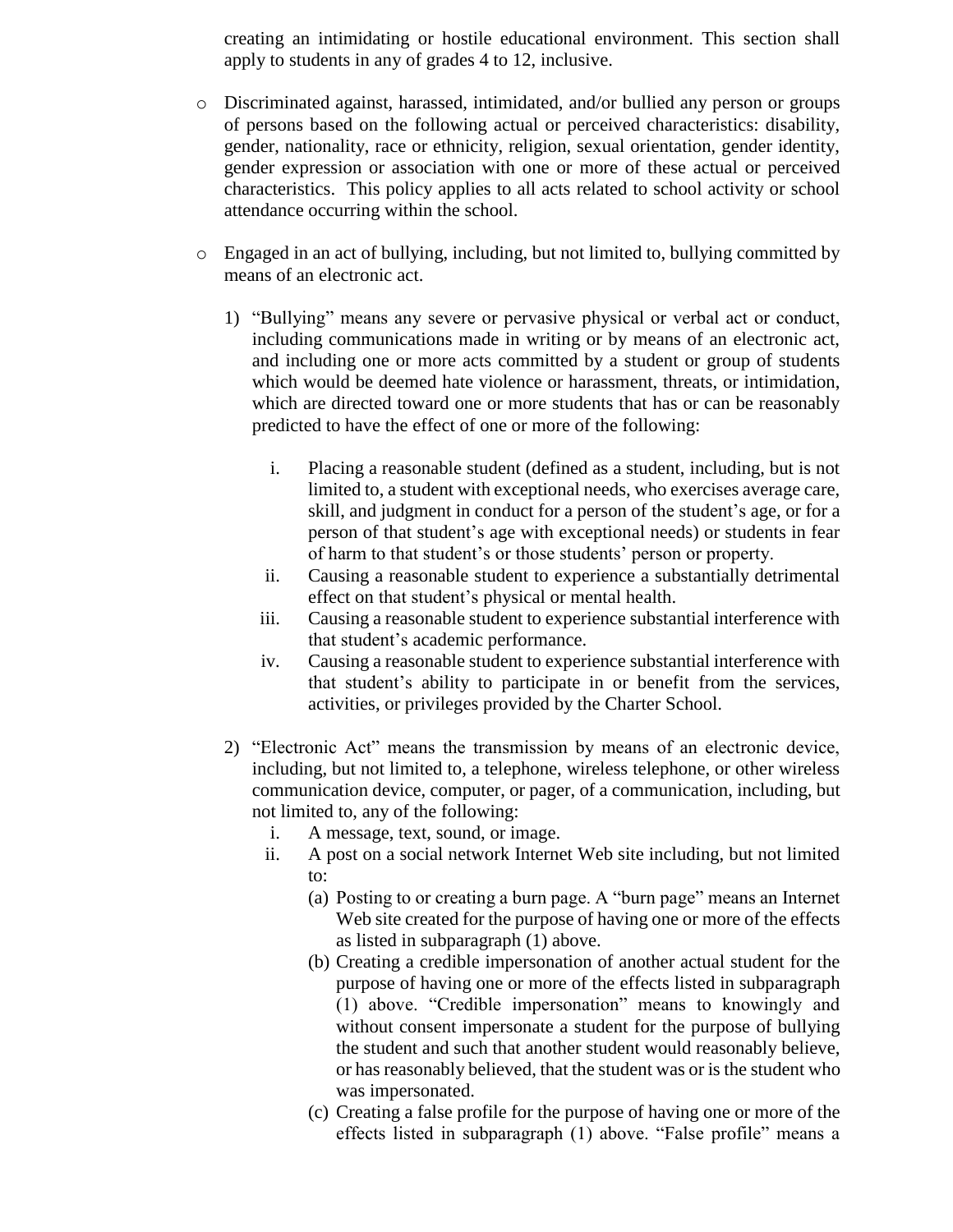creating an intimidating or hostile educational environment. This section shall apply to students in any of grades 4 to 12, inclusive.

- o Discriminated against, harassed, intimidated, and/or bullied any person or groups of persons based on the following actual or perceived characteristics: disability, gender, nationality, race or ethnicity, religion, sexual orientation, gender identity, gender expression or association with one or more of these actual or perceived characteristics. This policy applies to all acts related to school activity or school attendance occurring within the school.
- o Engaged in an act of bullying, including, but not limited to, bullying committed by means of an electronic act.
	- 1) "Bullying" means any severe or pervasive physical or verbal act or conduct, including communications made in writing or by means of an electronic act, and including one or more acts committed by a student or group of students which would be deemed hate violence or harassment, threats, or intimidation, which are directed toward one or more students that has or can be reasonably predicted to have the effect of one or more of the following:
		- i. Placing a reasonable student (defined as a student, including, but is not limited to, a student with exceptional needs, who exercises average care, skill, and judgment in conduct for a person of the student's age, or for a person of that student's age with exceptional needs) or students in fear of harm to that student's or those students' person or property.
		- ii. Causing a reasonable student to experience a substantially detrimental effect on that student's physical or mental health.
		- iii. Causing a reasonable student to experience substantial interference with that student's academic performance.
		- iv. Causing a reasonable student to experience substantial interference with that student's ability to participate in or benefit from the services, activities, or privileges provided by the Charter School.
	- 2) "Electronic Act" means the transmission by means of an electronic device, including, but not limited to, a telephone, wireless telephone, or other wireless communication device, computer, or pager, of a communication, including, but not limited to, any of the following:
		- i. A message, text, sound, or image.
		- ii. A post on a social network Internet Web site including, but not limited to:
			- (a) Posting to or creating a burn page. A "burn page" means an Internet Web site created for the purpose of having one or more of the effects as listed in subparagraph (1) above.
			- (b) Creating a credible impersonation of another actual student for the purpose of having one or more of the effects listed in subparagraph (1) above. "Credible impersonation" means to knowingly and without consent impersonate a student for the purpose of bullying the student and such that another student would reasonably believe, or has reasonably believed, that the student was or is the student who was impersonated.
			- (c) Creating a false profile for the purpose of having one or more of the effects listed in subparagraph (1) above. "False profile" means a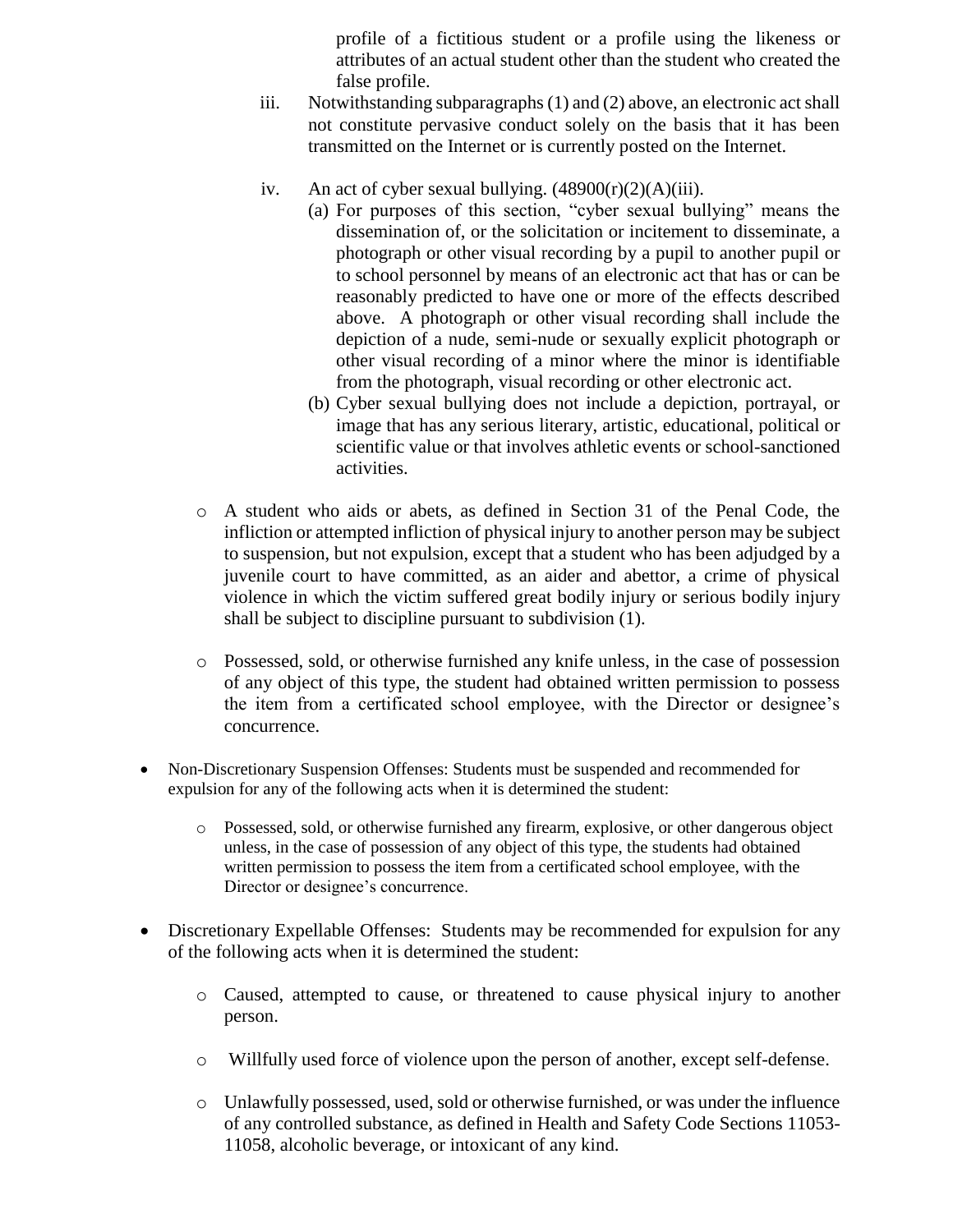profile of a fictitious student or a profile using the likeness or attributes of an actual student other than the student who created the false profile.

- iii. Notwithstanding subparagraphs (1) and (2) above, an electronic act shall not constitute pervasive conduct solely on the basis that it has been transmitted on the Internet or is currently posted on the Internet.
- iv. An act of cyber sexual bullying.  $(48900(r)(2)(A)(iii)$ .
	- (a) For purposes of this section, "cyber sexual bullying" means the dissemination of, or the solicitation or incitement to disseminate, a photograph or other visual recording by a pupil to another pupil or to school personnel by means of an electronic act that has or can be reasonably predicted to have one or more of the effects described above. A photograph or other visual recording shall include the depiction of a nude, semi-nude or sexually explicit photograph or other visual recording of a minor where the minor is identifiable from the photograph, visual recording or other electronic act.
	- (b) Cyber sexual bullying does not include a depiction, portrayal, or image that has any serious literary, artistic, educational, political or scientific value or that involves athletic events or school-sanctioned activities.
- o A student who aids or abets, as defined in Section 31 of the Penal Code, the infliction or attempted infliction of physical injury to another person may be subject to suspension, but not expulsion, except that a student who has been adjudged by a juvenile court to have committed, as an aider and abettor, a crime of physical violence in which the victim suffered great bodily injury or serious bodily injury shall be subject to discipline pursuant to subdivision (1).
- o Possessed, sold, or otherwise furnished any knife unless, in the case of possession of any object of this type, the student had obtained written permission to possess the item from a certificated school employee, with the Director or designee's concurrence.
- Non-Discretionary Suspension Offenses: Students must be suspended and recommended for expulsion for any of the following acts when it is determined the student:
	- o Possessed, sold, or otherwise furnished any firearm, explosive, or other dangerous object unless, in the case of possession of any object of this type, the students had obtained written permission to possess the item from a certificated school employee, with the Director or designee's concurrence.
- Discretionary Expellable Offenses: Students may be recommended for expulsion for any of the following acts when it is determined the student:
	- o Caused, attempted to cause, or threatened to cause physical injury to another person.
	- o Willfully used force of violence upon the person of another, except self-defense.
	- o Unlawfully possessed, used, sold or otherwise furnished, or was under the influence of any controlled substance, as defined in Health and Safety Code Sections 11053- 11058, alcoholic beverage, or intoxicant of any kind.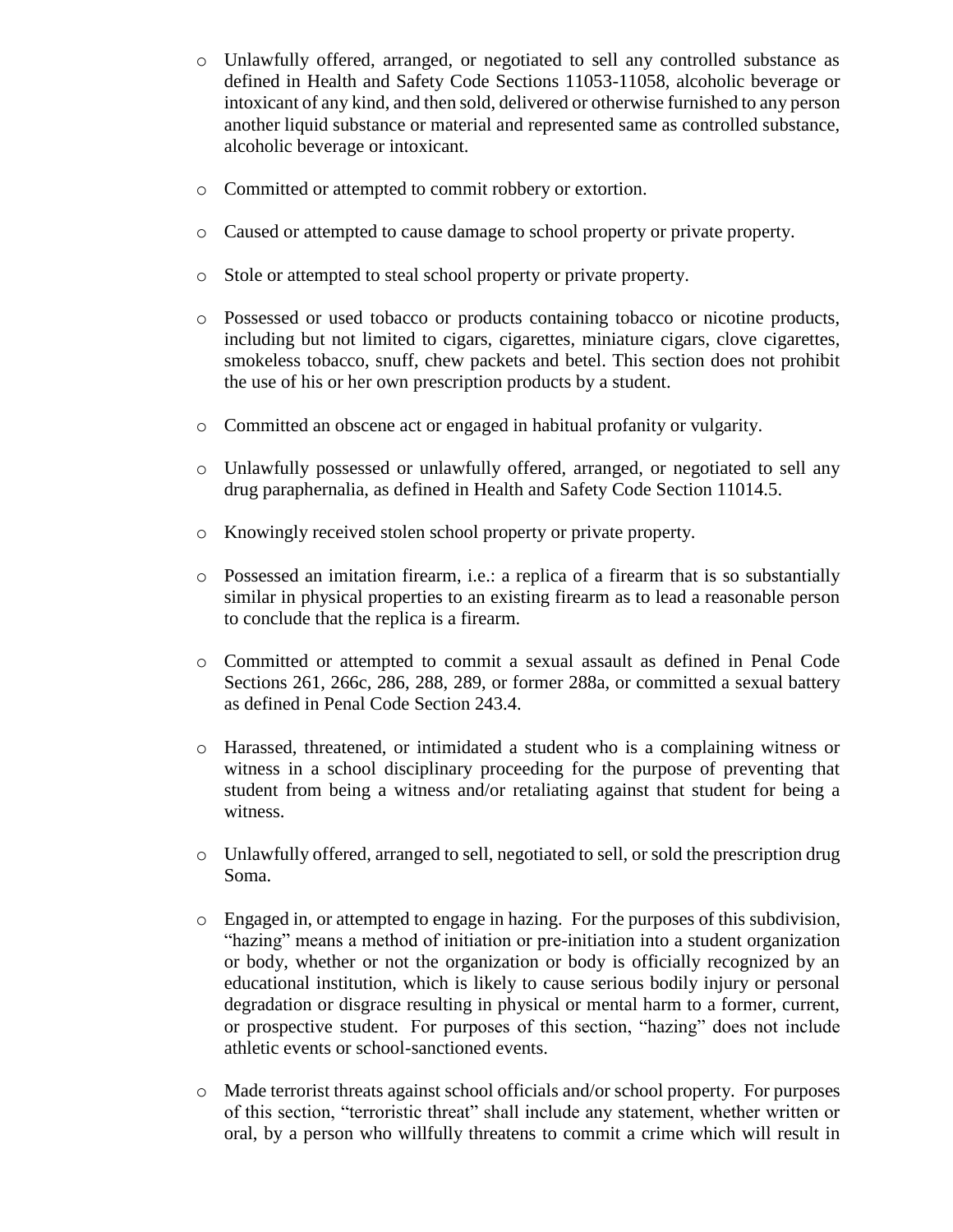- o Unlawfully offered, arranged, or negotiated to sell any controlled substance as defined in Health and Safety Code Sections 11053-11058, alcoholic beverage or intoxicant of any kind, and then sold, delivered or otherwise furnished to any person another liquid substance or material and represented same as controlled substance, alcoholic beverage or intoxicant.
- o Committed or attempted to commit robbery or extortion.
- o Caused or attempted to cause damage to school property or private property.
- o Stole or attempted to steal school property or private property.
- o Possessed or used tobacco or products containing tobacco or nicotine products, including but not limited to cigars, cigarettes, miniature cigars, clove cigarettes, smokeless tobacco, snuff, chew packets and betel. This section does not prohibit the use of his or her own prescription products by a student.
- o Committed an obscene act or engaged in habitual profanity or vulgarity.
- o Unlawfully possessed or unlawfully offered, arranged, or negotiated to sell any drug paraphernalia, as defined in Health and Safety Code Section 11014.5.
- o Knowingly received stolen school property or private property.
- o Possessed an imitation firearm, i.e.: a replica of a firearm that is so substantially similar in physical properties to an existing firearm as to lead a reasonable person to conclude that the replica is a firearm.
- o Committed or attempted to commit a sexual assault as defined in Penal Code Sections 261, 266c, 286, 288, 289, or former 288a, or committed a sexual battery as defined in Penal Code Section 243.4.
- o Harassed, threatened, or intimidated a student who is a complaining witness or witness in a school disciplinary proceeding for the purpose of preventing that student from being a witness and/or retaliating against that student for being a witness.
- o Unlawfully offered, arranged to sell, negotiated to sell, or sold the prescription drug Soma.
- o Engaged in, or attempted to engage in hazing. For the purposes of this subdivision, "hazing" means a method of initiation or pre-initiation into a student organization or body, whether or not the organization or body is officially recognized by an educational institution, which is likely to cause serious bodily injury or personal degradation or disgrace resulting in physical or mental harm to a former, current, or prospective student. For purposes of this section, "hazing" does not include athletic events or school-sanctioned events.
- o Made terrorist threats against school officials and/or school property. For purposes of this section, "terroristic threat" shall include any statement, whether written or oral, by a person who willfully threatens to commit a crime which will result in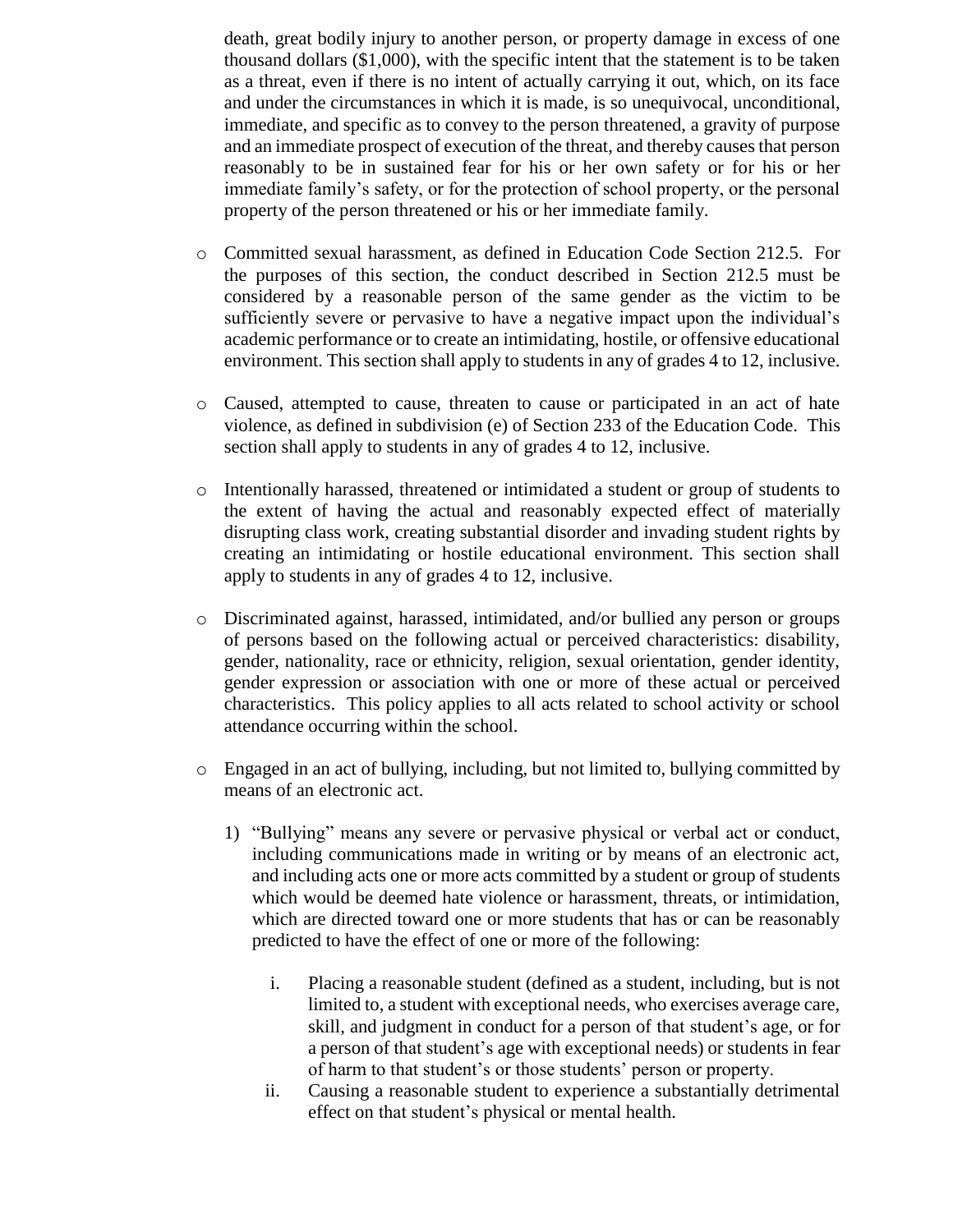death, great bodily injury to another person, or property damage in excess of one thousand dollars (\$1,000), with the specific intent that the statement is to be taken as a threat, even if there is no intent of actually carrying it out, which, on its face and under the circumstances in which it is made, is so unequivocal, unconditional, immediate, and specific as to convey to the person threatened, a gravity of purpose and an immediate prospect of execution of the threat, and thereby causes that person reasonably to be in sustained fear for his or her own safety or for his or her immediate family's safety, or for the protection of school property, or the personal property of the person threatened or his or her immediate family.

- o Committed sexual harassment, as defined in Education Code Section 212.5. For the purposes of this section, the conduct described in Section 212.5 must be considered by a reasonable person of the same gender as the victim to be sufficiently severe or pervasive to have a negative impact upon the individual's academic performance or to create an intimidating, hostile, or offensive educational environment. This section shall apply to students in any of grades 4 to 12, inclusive.
- o Caused, attempted to cause, threaten to cause or participated in an act of hate violence, as defined in subdivision (e) of Section 233 of the Education Code. This section shall apply to students in any of grades 4 to 12, inclusive.
- o Intentionally harassed, threatened or intimidated a student or group of students to the extent of having the actual and reasonably expected effect of materially disrupting class work, creating substantial disorder and invading student rights by creating an intimidating or hostile educational environment. This section shall apply to students in any of grades 4 to 12, inclusive.
- o Discriminated against, harassed, intimidated, and/or bullied any person or groups of persons based on the following actual or perceived characteristics: disability, gender, nationality, race or ethnicity, religion, sexual orientation, gender identity, gender expression or association with one or more of these actual or perceived characteristics. This policy applies to all acts related to school activity or school attendance occurring within the school.
- o Engaged in an act of bullying, including, but not limited to, bullying committed by means of an electronic act.
	- 1) "Bullying" means any severe or pervasive physical or verbal act or conduct, including communications made in writing or by means of an electronic act, and including acts one or more acts committed by a student or group of students which would be deemed hate violence or harassment, threats, or intimidation, which are directed toward one or more students that has or can be reasonably predicted to have the effect of one or more of the following:
		- i. Placing a reasonable student (defined as a student, including, but is not limited to, a student with exceptional needs, who exercises average care, skill, and judgment in conduct for a person of that student's age, or for a person of that student's age with exceptional needs) or students in fear of harm to that student's or those students' person or property.
		- ii. Causing a reasonable student to experience a substantially detrimental effect on that student's physical or mental health.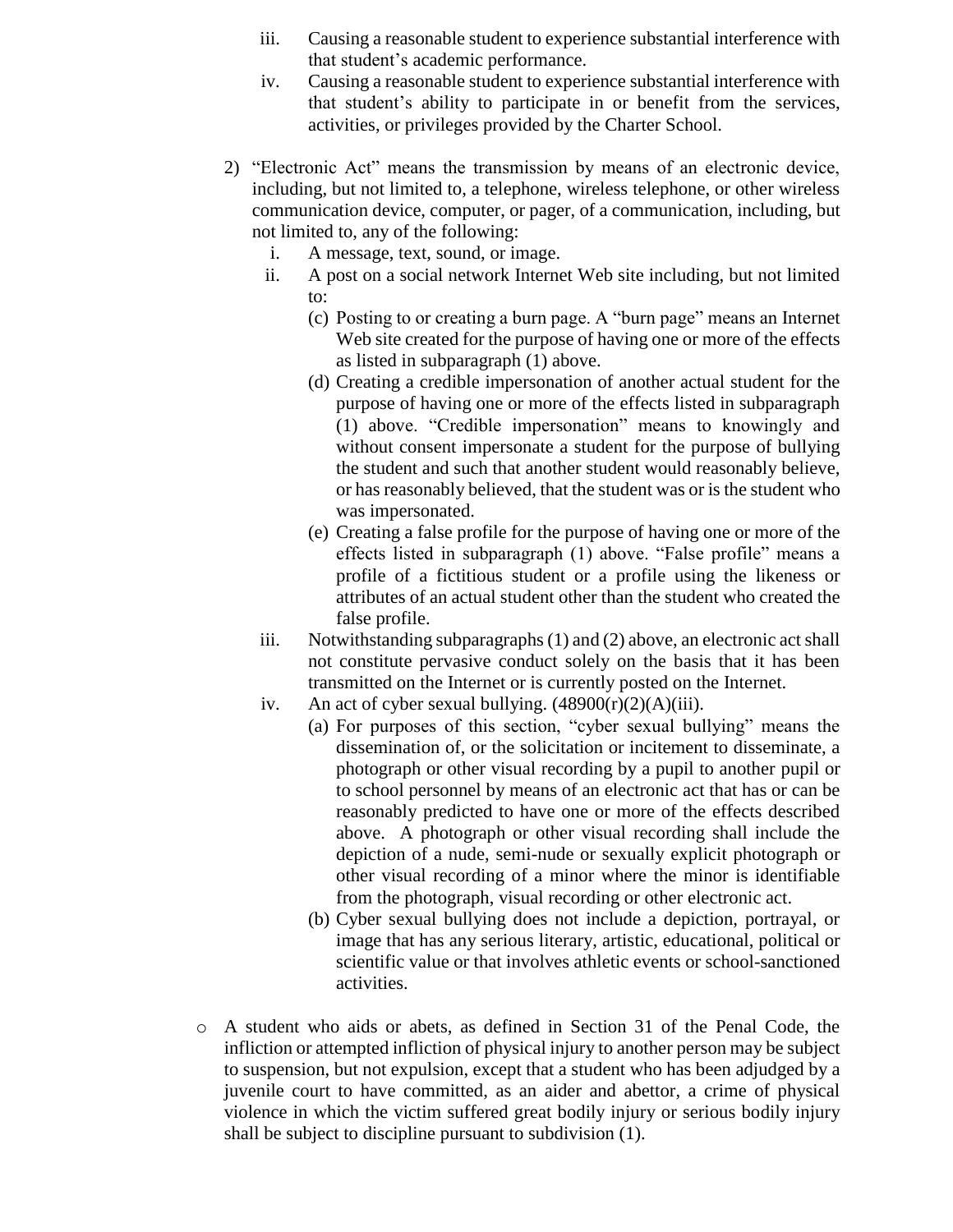- iii. Causing a reasonable student to experience substantial interference with that student's academic performance.
- iv. Causing a reasonable student to experience substantial interference with that student's ability to participate in or benefit from the services, activities, or privileges provided by the Charter School.
- 2) "Electronic Act" means the transmission by means of an electronic device, including, but not limited to, a telephone, wireless telephone, or other wireless communication device, computer, or pager, of a communication, including, but not limited to, any of the following:
	- i. A message, text, sound, or image.
	- ii. A post on a social network Internet Web site including, but not limited to:
		- (c) Posting to or creating a burn page. A "burn page" means an Internet Web site created for the purpose of having one or more of the effects as listed in subparagraph (1) above.
		- (d) Creating a credible impersonation of another actual student for the purpose of having one or more of the effects listed in subparagraph (1) above. "Credible impersonation" means to knowingly and without consent impersonate a student for the purpose of bullying the student and such that another student would reasonably believe, or has reasonably believed, that the student was or is the student who was impersonated.
		- (e) Creating a false profile for the purpose of having one or more of the effects listed in subparagraph (1) above. "False profile" means a profile of a fictitious student or a profile using the likeness or attributes of an actual student other than the student who created the false profile.
	- iii. Notwithstanding subparagraphs (1) and (2) above, an electronic act shall not constitute pervasive conduct solely on the basis that it has been transmitted on the Internet or is currently posted on the Internet.
	- iv. An act of cyber sexual bullying.  $(48900(r)(2)(A)(iii)$ .
		- (a) For purposes of this section, "cyber sexual bullying" means the dissemination of, or the solicitation or incitement to disseminate, a photograph or other visual recording by a pupil to another pupil or to school personnel by means of an electronic act that has or can be reasonably predicted to have one or more of the effects described above. A photograph or other visual recording shall include the depiction of a nude, semi-nude or sexually explicit photograph or other visual recording of a minor where the minor is identifiable from the photograph, visual recording or other electronic act.
		- (b) Cyber sexual bullying does not include a depiction, portrayal, or image that has any serious literary, artistic, educational, political or scientific value or that involves athletic events or school-sanctioned activities.
- o A student who aids or abets, as defined in Section 31 of the Penal Code, the infliction or attempted infliction of physical injury to another person may be subject to suspension, but not expulsion, except that a student who has been adjudged by a juvenile court to have committed, as an aider and abettor, a crime of physical violence in which the victim suffered great bodily injury or serious bodily injury shall be subject to discipline pursuant to subdivision (1).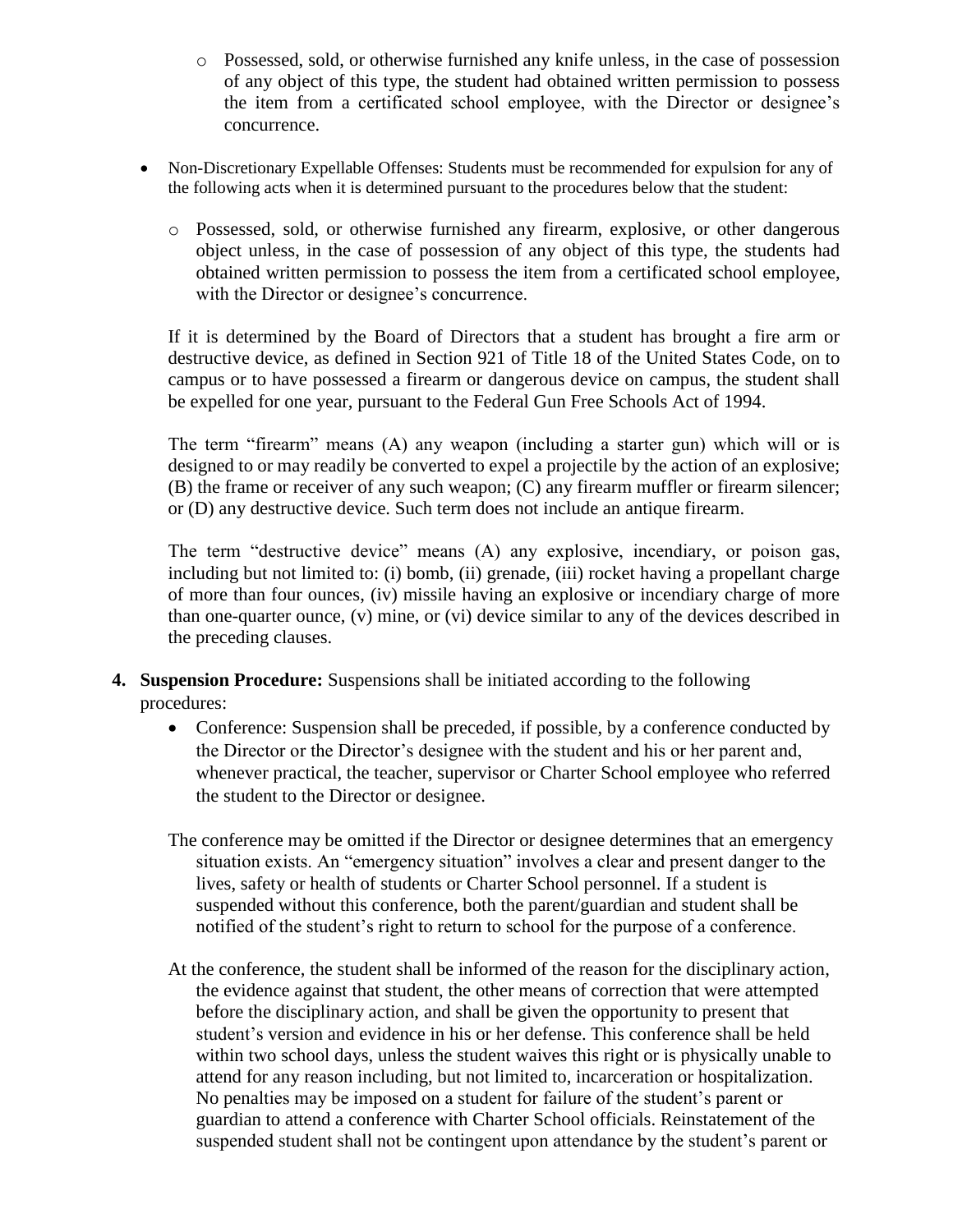- o Possessed, sold, or otherwise furnished any knife unless, in the case of possession of any object of this type, the student had obtained written permission to possess the item from a certificated school employee, with the Director or designee's concurrence.
- Non-Discretionary Expellable Offenses: Students must be recommended for expulsion for any of the following acts when it is determined pursuant to the procedures below that the student:
	- o Possessed, sold, or otherwise furnished any firearm, explosive, or other dangerous object unless, in the case of possession of any object of this type, the students had obtained written permission to possess the item from a certificated school employee, with the Director or designee's concurrence.

If it is determined by the Board of Directors that a student has brought a fire arm or destructive device, as defined in Section 921 of Title 18 of the United States Code, on to campus or to have possessed a firearm or dangerous device on campus, the student shall be expelled for one year, pursuant to the Federal Gun Free Schools Act of 1994.

The term "firearm" means (A) any weapon (including a starter gun) which will or is designed to or may readily be converted to expel a projectile by the action of an explosive; (B) the frame or receiver of any such weapon; (C) any firearm muffler or firearm silencer; or (D) any destructive device. Such term does not include an antique firearm.

The term "destructive device" means (A) any explosive, incendiary, or poison gas, including but not limited to: (i) bomb, (ii) grenade, (iii) rocket having a propellant charge of more than four ounces, (iv) missile having an explosive or incendiary charge of more than one-quarter ounce, (v) mine, or (vi) device similar to any of the devices described in the preceding clauses.

- **4. Suspension Procedure:** Suspensions shall be initiated according to the following procedures:
	- Conference: Suspension shall be preceded, if possible, by a conference conducted by the Director or the Director's designee with the student and his or her parent and, whenever practical, the teacher, supervisor or Charter School employee who referred the student to the Director or designee.
	- The conference may be omitted if the Director or designee determines that an emergency situation exists. An "emergency situation" involves a clear and present danger to the lives, safety or health of students or Charter School personnel. If a student is suspended without this conference, both the parent/guardian and student shall be notified of the student's right to return to school for the purpose of a conference.
	- At the conference, the student shall be informed of the reason for the disciplinary action, the evidence against that student, the other means of correction that were attempted before the disciplinary action, and shall be given the opportunity to present that student's version and evidence in his or her defense. This conference shall be held within two school days, unless the student waives this right or is physically unable to attend for any reason including, but not limited to, incarceration or hospitalization. No penalties may be imposed on a student for failure of the student's parent or guardian to attend a conference with Charter School officials. Reinstatement of the suspended student shall not be contingent upon attendance by the student's parent or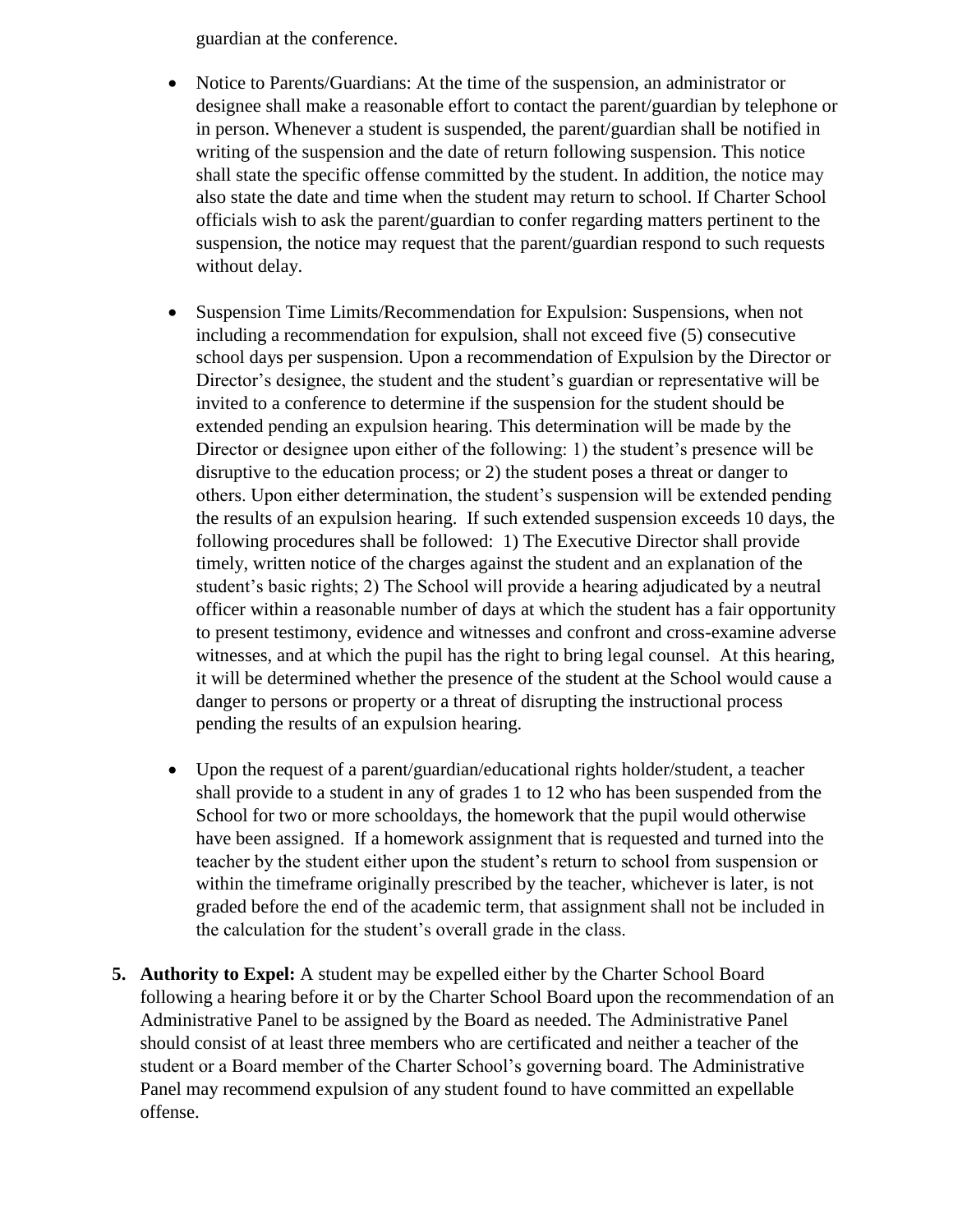guardian at the conference.

- Notice to Parents/Guardians: At the time of the suspension, an administrator or designee shall make a reasonable effort to contact the parent/guardian by telephone or in person. Whenever a student is suspended, the parent/guardian shall be notified in writing of the suspension and the date of return following suspension. This notice shall state the specific offense committed by the student. In addition, the notice may also state the date and time when the student may return to school. If Charter School officials wish to ask the parent/guardian to confer regarding matters pertinent to the suspension, the notice may request that the parent/guardian respond to such requests without delay.
- Suspension Time Limits/Recommendation for Expulsion: Suspensions, when not including a recommendation for expulsion, shall not exceed five (5) consecutive school days per suspension. Upon a recommendation of Expulsion by the Director or Director's designee, the student and the student's guardian or representative will be invited to a conference to determine if the suspension for the student should be extended pending an expulsion hearing. This determination will be made by the Director or designee upon either of the following: 1) the student's presence will be disruptive to the education process; or 2) the student poses a threat or danger to others. Upon either determination, the student's suspension will be extended pending the results of an expulsion hearing. If such extended suspension exceeds 10 days, the following procedures shall be followed: 1) The Executive Director shall provide timely, written notice of the charges against the student and an explanation of the student's basic rights; 2) The School will provide a hearing adjudicated by a neutral officer within a reasonable number of days at which the student has a fair opportunity to present testimony, evidence and witnesses and confront and cross-examine adverse witnesses, and at which the pupil has the right to bring legal counsel. At this hearing, it will be determined whether the presence of the student at the School would cause a danger to persons or property or a threat of disrupting the instructional process pending the results of an expulsion hearing.
- Upon the request of a parent/guardian/educational rights holder/student, a teacher shall provide to a student in any of grades 1 to 12 who has been suspended from the School for two or more schooldays, the homework that the pupil would otherwise have been assigned. If a homework assignment that is requested and turned into the teacher by the student either upon the student's return to school from suspension or within the timeframe originally prescribed by the teacher, whichever is later, is not graded before the end of the academic term, that assignment shall not be included in the calculation for the student's overall grade in the class.
- **5. Authority to Expel:** A student may be expelled either by the Charter School Board following a hearing before it or by the Charter School Board upon the recommendation of an Administrative Panel to be assigned by the Board as needed. The Administrative Panel should consist of at least three members who are certificated and neither a teacher of the student or a Board member of the Charter School's governing board. The Administrative Panel may recommend expulsion of any student found to have committed an expellable offense.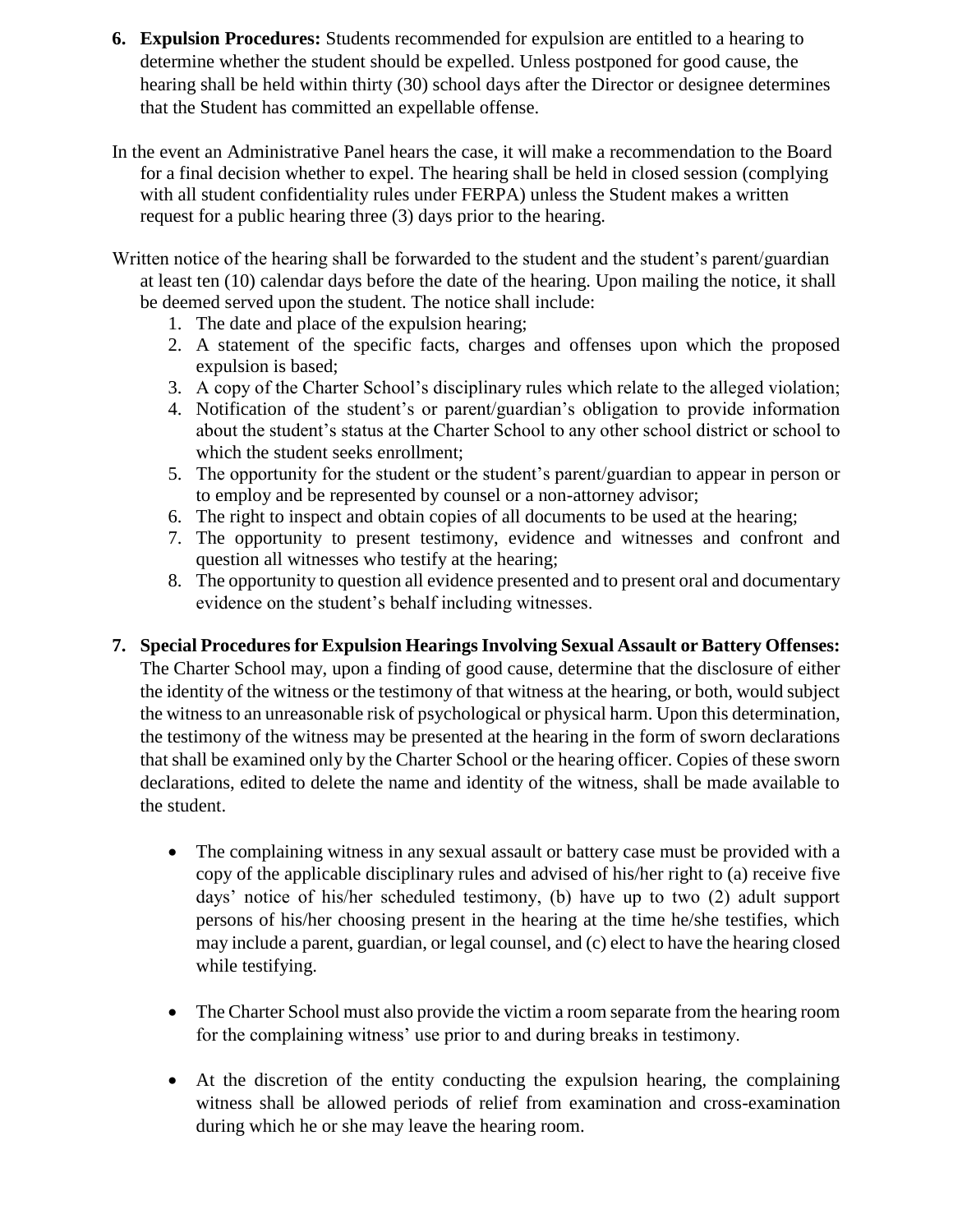- **6. Expulsion Procedures:** Students recommended for expulsion are entitled to a hearing to determine whether the student should be expelled. Unless postponed for good cause, the hearing shall be held within thirty (30) school days after the Director or designee determines that the Student has committed an expellable offense.
- In the event an Administrative Panel hears the case, it will make a recommendation to the Board for a final decision whether to expel. The hearing shall be held in closed session (complying with all student confidentiality rules under FERPA) unless the Student makes a written request for a public hearing three (3) days prior to the hearing.
- Written notice of the hearing shall be forwarded to the student and the student's parent/guardian at least ten (10) calendar days before the date of the hearing. Upon mailing the notice, it shall be deemed served upon the student. The notice shall include:
	- 1. The date and place of the expulsion hearing;
	- 2. A statement of the specific facts, charges and offenses upon which the proposed expulsion is based;
	- 3. A copy of the Charter School's disciplinary rules which relate to the alleged violation;
	- 4. Notification of the student's or parent/guardian's obligation to provide information about the student's status at the Charter School to any other school district or school to which the student seeks enrollment;
	- 5. The opportunity for the student or the student's parent/guardian to appear in person or to employ and be represented by counsel or a non-attorney advisor;
	- 6. The right to inspect and obtain copies of all documents to be used at the hearing;
	- 7. The opportunity to present testimony, evidence and witnesses and confront and question all witnesses who testify at the hearing;
	- 8. The opportunity to question all evidence presented and to present oral and documentary evidence on the student's behalf including witnesses.
- **7. Special Procedures for Expulsion Hearings Involving Sexual Assault or Battery Offenses:**  The Charter School may, upon a finding of good cause, determine that the disclosure of either the identity of the witness or the testimony of that witness at the hearing, or both, would subject the witness to an unreasonable risk of psychological or physical harm. Upon this determination, the testimony of the witness may be presented at the hearing in the form of sworn declarations that shall be examined only by the Charter School or the hearing officer. Copies of these sworn declarations, edited to delete the name and identity of the witness, shall be made available to the student.
	- The complaining witness in any sexual assault or battery case must be provided with a copy of the applicable disciplinary rules and advised of his/her right to (a) receive five days' notice of his/her scheduled testimony, (b) have up to two (2) adult support persons of his/her choosing present in the hearing at the time he/she testifies, which may include a parent, guardian, or legal counsel, and (c) elect to have the hearing closed while testifying.
	- The Charter School must also provide the victim a room separate from the hearing room for the complaining witness' use prior to and during breaks in testimony.
	- At the discretion of the entity conducting the expulsion hearing, the complaining witness shall be allowed periods of relief from examination and cross-examination during which he or she may leave the hearing room.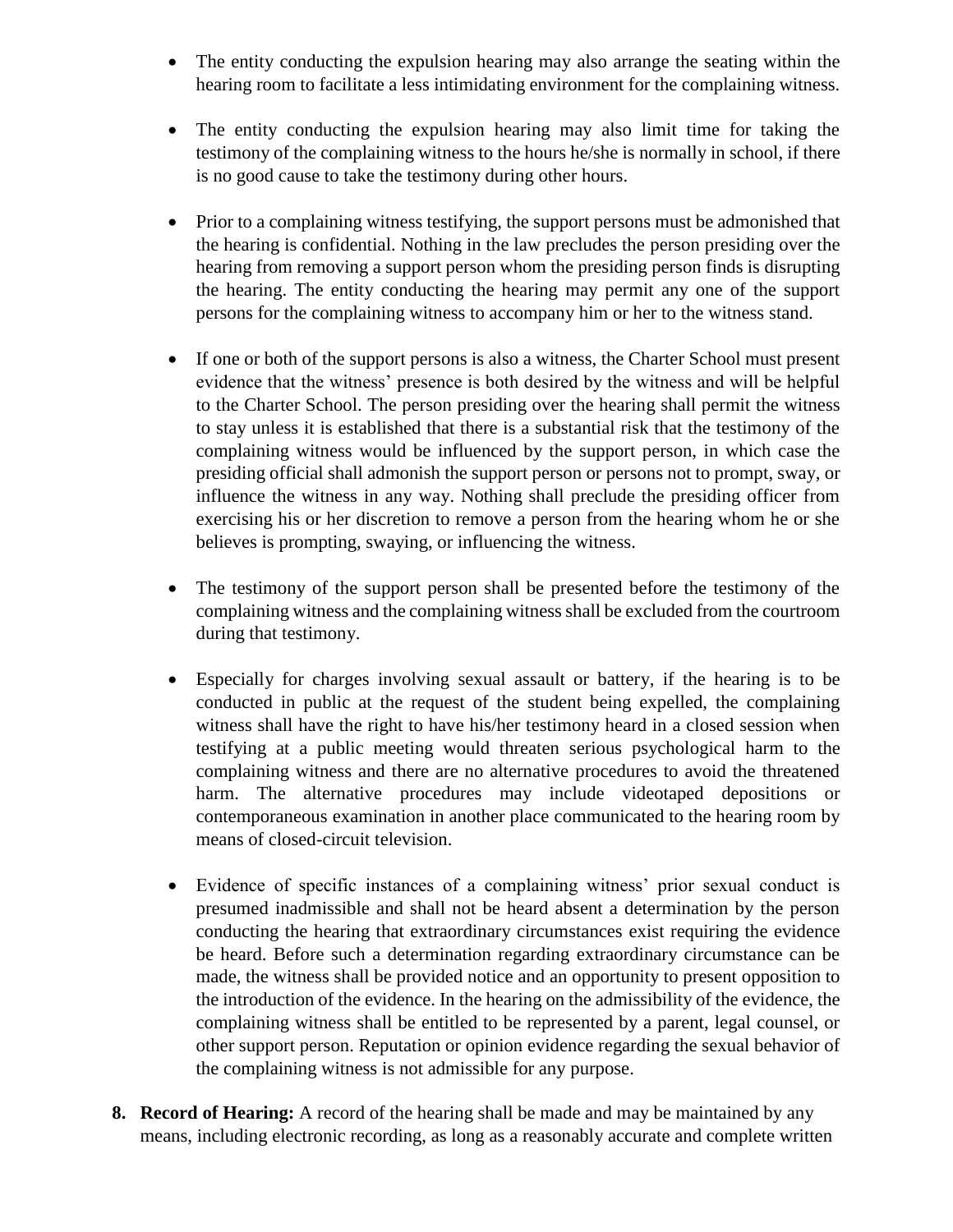- The entity conducting the expulsion hearing may also arrange the seating within the hearing room to facilitate a less intimidating environment for the complaining witness.
- The entity conducting the expulsion hearing may also limit time for taking the testimony of the complaining witness to the hours he/she is normally in school, if there is no good cause to take the testimony during other hours.
- Prior to a complaining witness testifying, the support persons must be admonished that the hearing is confidential. Nothing in the law precludes the person presiding over the hearing from removing a support person whom the presiding person finds is disrupting the hearing. The entity conducting the hearing may permit any one of the support persons for the complaining witness to accompany him or her to the witness stand.
- If one or both of the support persons is also a witness, the Charter School must present evidence that the witness' presence is both desired by the witness and will be helpful to the Charter School. The person presiding over the hearing shall permit the witness to stay unless it is established that there is a substantial risk that the testimony of the complaining witness would be influenced by the support person, in which case the presiding official shall admonish the support person or persons not to prompt, sway, or influence the witness in any way. Nothing shall preclude the presiding officer from exercising his or her discretion to remove a person from the hearing whom he or she believes is prompting, swaying, or influencing the witness.
- The testimony of the support person shall be presented before the testimony of the complaining witness and the complaining witness shall be excluded from the courtroom during that testimony.
- Especially for charges involving sexual assault or battery, if the hearing is to be conducted in public at the request of the student being expelled, the complaining witness shall have the right to have his/her testimony heard in a closed session when testifying at a public meeting would threaten serious psychological harm to the complaining witness and there are no alternative procedures to avoid the threatened harm. The alternative procedures may include videotaped depositions or contemporaneous examination in another place communicated to the hearing room by means of closed-circuit television.
- Evidence of specific instances of a complaining witness' prior sexual conduct is presumed inadmissible and shall not be heard absent a determination by the person conducting the hearing that extraordinary circumstances exist requiring the evidence be heard. Before such a determination regarding extraordinary circumstance can be made, the witness shall be provided notice and an opportunity to present opposition to the introduction of the evidence. In the hearing on the admissibility of the evidence, the complaining witness shall be entitled to be represented by a parent, legal counsel, or other support person. Reputation or opinion evidence regarding the sexual behavior of the complaining witness is not admissible for any purpose.
- **8. Record of Hearing:** A record of the hearing shall be made and may be maintained by any means, including electronic recording, as long as a reasonably accurate and complete written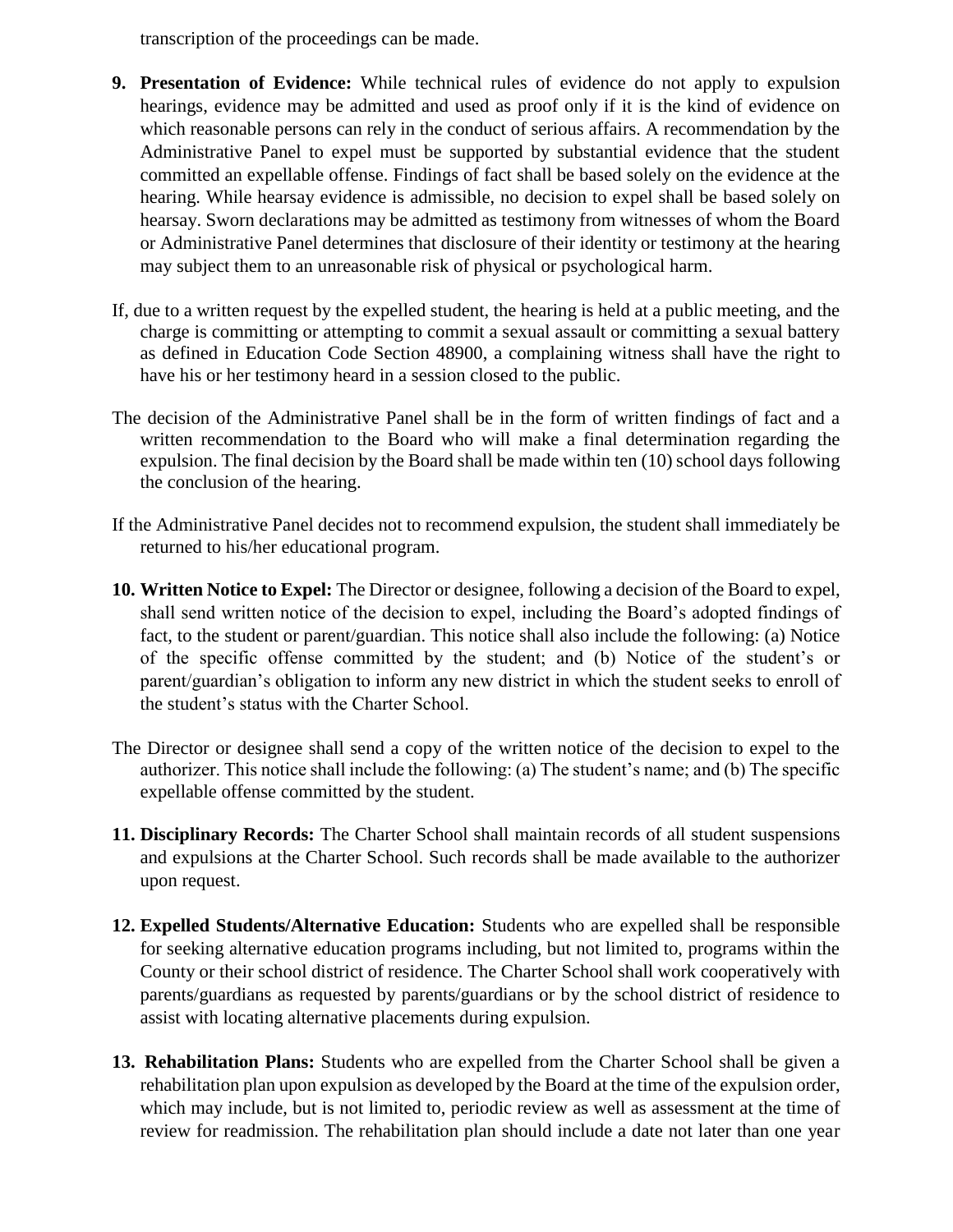transcription of the proceedings can be made.

- **9. Presentation of Evidence:** While technical rules of evidence do not apply to expulsion hearings, evidence may be admitted and used as proof only if it is the kind of evidence on which reasonable persons can rely in the conduct of serious affairs. A recommendation by the Administrative Panel to expel must be supported by substantial evidence that the student committed an expellable offense. Findings of fact shall be based solely on the evidence at the hearing. While hearsay evidence is admissible, no decision to expel shall be based solely on hearsay. Sworn declarations may be admitted as testimony from witnesses of whom the Board or Administrative Panel determines that disclosure of their identity or testimony at the hearing may subject them to an unreasonable risk of physical or psychological harm.
- If, due to a written request by the expelled student, the hearing is held at a public meeting, and the charge is committing or attempting to commit a sexual assault or committing a sexual battery as defined in Education Code Section 48900, a complaining witness shall have the right to have his or her testimony heard in a session closed to the public.
- The decision of the Administrative Panel shall be in the form of written findings of fact and a written recommendation to the Board who will make a final determination regarding the expulsion. The final decision by the Board shall be made within ten (10) school days following the conclusion of the hearing.
- If the Administrative Panel decides not to recommend expulsion, the student shall immediately be returned to his/her educational program.
- **10. Written Notice to Expel:** The Director or designee, following a decision of the Board to expel, shall send written notice of the decision to expel, including the Board's adopted findings of fact, to the student or parent/guardian. This notice shall also include the following: (a) Notice of the specific offense committed by the student; and (b) Notice of the student's or parent/guardian's obligation to inform any new district in which the student seeks to enroll of the student's status with the Charter School.
- The Director or designee shall send a copy of the written notice of the decision to expel to the authorizer. This notice shall include the following: (a) The student's name; and (b) The specific expellable offense committed by the student.
- **11. Disciplinary Records:** The Charter School shall maintain records of all student suspensions and expulsions at the Charter School. Such records shall be made available to the authorizer upon request.
- **12. Expelled Students/Alternative Education:** Students who are expelled shall be responsible for seeking alternative education programs including, but not limited to, programs within the County or their school district of residence. The Charter School shall work cooperatively with parents/guardians as requested by parents/guardians or by the school district of residence to assist with locating alternative placements during expulsion.
- **13. Rehabilitation Plans:** Students who are expelled from the Charter School shall be given a rehabilitation plan upon expulsion as developed by the Board at the time of the expulsion order, which may include, but is not limited to, periodic review as well as assessment at the time of review for readmission. The rehabilitation plan should include a date not later than one year